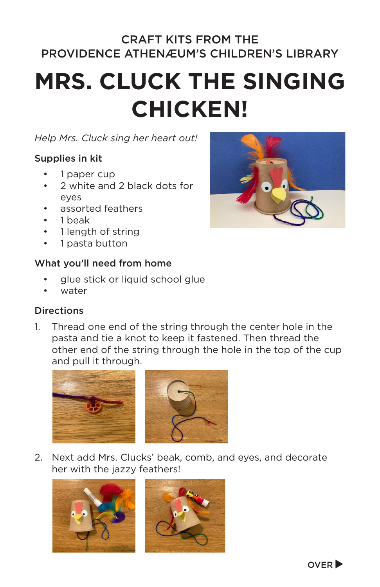### CRAFT KITS FROM THE PROVIDENCE ATHENÆUM'S CHILDREN'S LIBRARY

# **MRS. CLUCK THE SINGING CHICKEN!**

#### *Help Mrs. Cluck sing her heart out!*

#### Supplies in kit

- 1 paper cup
- 2 white and 2 black dots for eyes
- assorted feathers
- 1 beak
- 1 length of string
- 1 pasta button

#### What you'll need from home

- glue stick or liquid school glue
- water

#### **Directions**

1. Thread one end of the string through the center hole in the pasta and tie a knot to keep it fastened. Then thread the other end of the string through the hole in the top of the cup and pull it through.



2. Next add Mrs. Clucks' beak, comb, and eyes, and decorate her with the jazzy feathers!